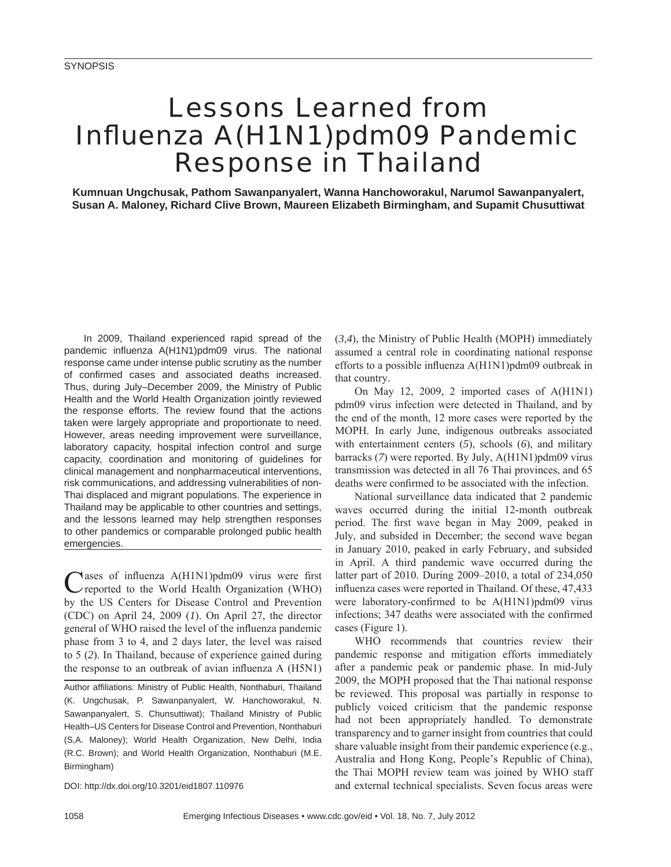# Lessons Learned from Influenza A(H1N1)pdm09 Pandemic Response in Thailand

**Kumnuan Ungchusak, Pathom Sawanpanyalert, Wanna Hanchoworakul, Narumol Sawanpanyalert, Susan A. Maloney, Richard Clive Brown, Maureen Elizabeth Birmingham, and Supamit Chusuttiwat**

In 2009, Thailand experienced rapid spread of the pandemic influenza A(H1N1)pdm09 virus. The national response came under intense public scrutiny as the number of confirmed cases and associated deaths increased. Thus, during July–December 2009, the Ministry of Public Health and the World Health Organization jointly reviewed the response efforts. The review found that the actions taken were largely appropriate and proportionate to need. However, areas needing improvement were surveillance, laboratory capacity, hospital infection control and surge capacity, coordination and monitoring of guidelines for clinical management and nonpharmaceutical interventions, risk communications, and addressing vulnerabilities of non-Thai displaced and migrant populations. The experience in Thailand may be applicable to other countries and settings, and the lessons learned may help strengthen responses to other pandemics or comparable prolonged public health emergencies.

 $\text{Nases}$  of influenza A(H1N1)pdm09 virus were first reported to the World Health Organization (WHO) by the US Centers for Disease Control and Prevention (CDC) on April 24, 2009 (*1*). On April 27, the director general of WHO raised the level of the influenza pandemic phase from 3 to 4, and 2 days later, the level was raised to 5 (*2*). In Thailand, because of experience gained during the response to an outbreak of avian influenza  $A$  (H5N1)

Author affiliations: Ministry of Public Health, Nonthaburi, Thailand (K. Ungchusak, P. Sawanpanyalert, W. Hanchoworakul, N. Sawanpanyalert, S. Chunsuttiwat); Thailand Ministry of Public Health–US Centers for Disease Control and Prevention, Nonthaburi (S,A. Maloney); World Health Organization, New Delhi, India (R.C. Brown); and World Health Organization, Nonthaburi (M.E. Birmingham)

DOI: http://dx.doi.org/10.3201/eid1807.110976

(*3*,*4*), the Ministry of Public Health (MOPH) immediately assumed a central role in coordinating national response efforts to a possible influenza  $A(H1N1)$ pdm09 outbreak in that country.

On May 12, 2009, 2 imported cases of A(H1N1) pdm09 virus infection were detected in Thailand, and by the end of the month, 12 more cases were reported by the MOPH. In early June, indigenous outbreaks associated with entertainment centers (*5*), schools (*6*), and military barracks (*7*) were reported. By July, A(H1N1)pdm09 virus transmission was detected in all 76 Thai provinces, and 65 deaths were confirmed to be associated with the infection.

National surveillance data indicated that 2 pandemic waves occurred during the initial 12-month outbreak period. The first wave began in May 2009, peaked in July, and subsided in December; the second wave began in January 2010, peaked in early February, and subsided in April. A third pandemic wave occurred during the latter part of 2010. During 2009–2010, a total of 234,050 influenza cases were reported in Thailand. Of these, 47,433 were laboratory-confirmed to be  $A(H1N1)$ pdm09 virus infections; 347 deaths were associated with the confirmed cases (Figure 1).

WHO recommends that countries review their pandemic response and mitigation efforts immediately after a pandemic peak or pandemic phase. In mid-July 2009, the MOPH proposed that the Thai national response be reviewed. This proposal was partially in response to publicly voiced criticism that the pandemic response had not been appropriately handled. To demonstrate transparency and to garner insight from countries that could share valuable insight from their pandemic experience (e.g., Australia and Hong Kong, People's Republic of China), the Thai MOPH review team was joined by WHO staff and external technical specialists. Seven focus areas were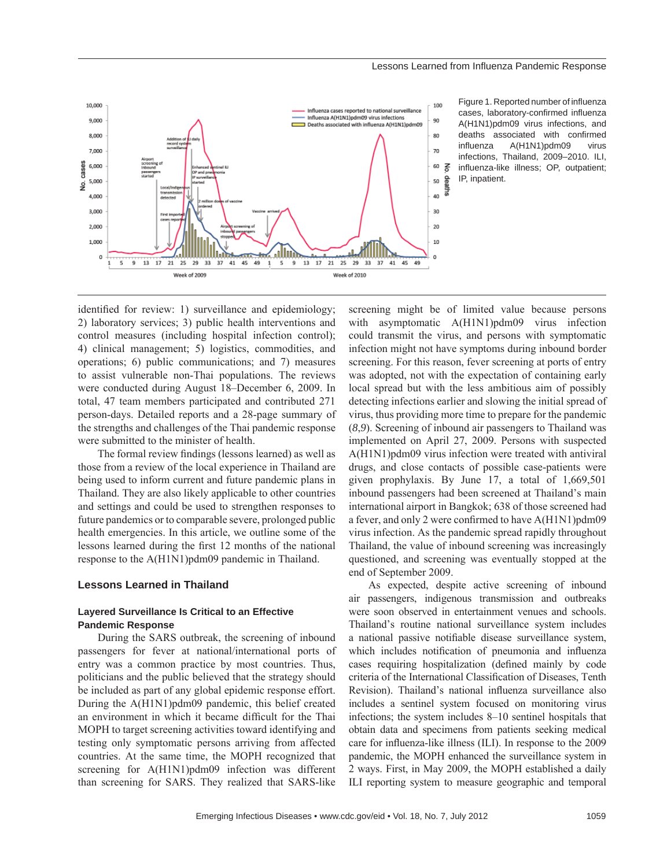

Figure 1. Reported number of influenza cases, laboratory-confirmed influenza A(H1N1)pdm09 virus infections, and deaths associated with confirmed influenza A(H1N1)pdm09 virus infections, Thailand, 2009–2010. ILI, influenza-like illness; OP, outpatient; IP, inpatient.

identified for review: 1) surveillance and epidemiology; 2) laboratory services; 3) public health interventions and control measures (including hospital infection control); 4) clinical management; 5) logistics, commodities, and operations; 6) public communications; and 7) measures to assist vulnerable non-Thai populations. The reviews were conducted during August 18–December 6, 2009. In total, 47 team members participated and contributed 271 person-days. Detailed reports and a 28-page summary of the strengths and challenges of the Thai pandemic response were submitted to the minister of health.

The formal review findings (lessons learned) as well as those from a review of the local experience in Thailand are being used to inform current and future pandemic plans in Thailand. They are also likely applicable to other countries and settings and could be used to strengthen responses to future pandemics or to comparable severe, prolonged public health emergencies. In this article, we outline some of the lessons learned during the first 12 months of the national response to the A(H1N1)pdm09 pandemic in Thailand.

# **Lessons Learned in Thailand**

## **Layered Surveillance Is Critical to an Effective Pandemic Response**

During the SARS outbreak, the screening of inbound passengers for fever at national/international ports of entry was a common practice by most countries. Thus, politicians and the public believed that the strategy should be included as part of any global epidemic response effort. During the A(H1N1)pdm09 pandemic, this belief created an environment in which it became difficult for the Thai MOPH to target screening activities toward identifying and testing only symptomatic persons arriving from affected countries. At the same time, the MOPH recognized that screening for A(H1N1)pdm09 infection was different than screening for SARS. They realized that SARS-like screening might be of limited value because persons with asymptomatic A(H1N1)pdm09 virus infection could transmit the virus, and persons with symptomatic infection might not have symptoms during inbound border screening. For this reason, fever screening at ports of entry was adopted, not with the expectation of containing early local spread but with the less ambitious aim of possibly detecting infections earlier and slowing the initial spread of virus, thus providing more time to prepare for the pandemic (*8*,*9*). Screening of inbound air passengers to Thailand was implemented on April 27, 2009. Persons with suspected A(H1N1)pdm09 virus infection were treated with antiviral drugs, and close contacts of possible case-patients were given prophylaxis. By June 17, a total of 1,669,501 inbound passengers had been screened at Thailand's main international airport in Bangkok; 638 of those screened had a fever, and only 2 were confirmed to have  $A(H1N1)$ pdm09 virus infection. As the pandemic spread rapidly throughout Thailand, the value of inbound screening was increasingly questioned, and screening was eventually stopped at the end of September 2009.

As expected, despite active screening of inbound air passengers, indigenous transmission and outbreaks were soon observed in entertainment venues and schools. Thailand's routine national surveillance system includes a national passive notifiable disease surveillance system, which includes notification of pneumonia and influenza cases requiring hospitalization (defined mainly by code criteria of the International Classification of Diseases, Tenth Revision). Thailand's national influenza surveillance also includes a sentinel system focused on monitoring virus infections; the system includes 8–10 sentinel hospitals that obtain data and specimens from patients seeking medical care for influenza-like illness (ILI). In response to the 2009 pandemic, the MOPH enhanced the surveillance system in 2 ways. First, in May 2009, the MOPH established a daily ILI reporting system to measure geographic and temporal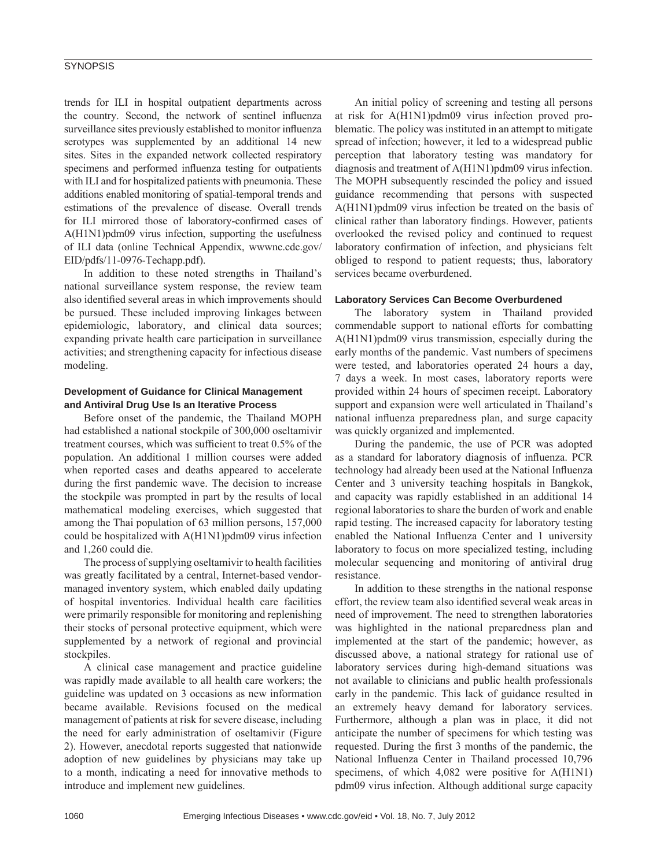# **SYNOPSIS**

trends for ILI in hospital outpatient departments across the country. Second, the network of sentinel influenza surveillance sites previously established to monitor influenza serotypes was supplemented by an additional 14 new sites. Sites in the expanded network collected respiratory specimens and performed influenza testing for outpatients with ILI and for hospitalized patients with pneumonia. These additions enabled monitoring of spatial-temporal trends and estimations of the prevalence of disease. Overall trends for ILI mirrored those of laboratory-confirmed cases of A(H1N1)pdm09 virus infection, supporting the usefulness of ILI data (online Technical Appendix, wwwnc.cdc.gov/ EID/pdfs/11-0976-Techapp.pdf).

In addition to these noted strengths in Thailand's national surveillance system response, the review team also identified several areas in which improvements should be pursued. These included improving linkages between epidemiologic, laboratory, and clinical data sources; expanding private health care participation in surveillance activities; and strengthening capacity for infectious disease modeling.

# **Development of Guidance for Clinical Management and Antiviral Drug Use Is an Iterative Process**

Before onset of the pandemic, the Thailand MOPH had established a national stockpile of 300,000 oseltamivir treatment courses, which was sufficient to treat  $0.5\%$  of the population. An additional 1 million courses were added when reported cases and deaths appeared to accelerate during the first pandemic wave. The decision to increase the stockpile was prompted in part by the results of local mathematical modeling exercises, which suggested that among the Thai population of 63 million persons, 157,000 could be hospitalized with A(H1N1)pdm09 virus infection and 1,260 could die.

The process of supplying oseltamivir to health facilities was greatly facilitated by a central, Internet-based vendormanaged inventory system, which enabled daily updating of hospital inventories. Individual health care facilities were primarily responsible for monitoring and replenishing their stocks of personal protective equipment, which were supplemented by a network of regional and provincial stockpiles.

A clinical case management and practice guideline was rapidly made available to all health care workers; the guideline was updated on 3 occasions as new information became available. Revisions focused on the medical management of patients at risk for severe disease, including the need for early administration of oseltamivir (Figure 2). However, anecdotal reports suggested that nationwide adoption of new guidelines by physicians may take up to a month, indicating a need for innovative methods to introduce and implement new guidelines.

An initial policy of screening and testing all persons at risk for A(H1N1)pdm09 virus infection proved problematic. The policy was instituted in an attempt to mitigate spread of infection; however, it led to a widespread public perception that laboratory testing was mandatory for diagnosis and treatment of A(H1N1)pdm09 virus infection. The MOPH subsequently rescinded the policy and issued guidance recommending that persons with suspected A(H1N1)pdm09 virus infection be treated on the basis of clinical rather than laboratory findings. However, patients overlooked the revised policy and continued to request laboratory confirmation of infection, and physicians felt obliged to respond to patient requests; thus, laboratory services became overburdened.

#### **Laboratory Services Can Become Overburdened**

The laboratory system in Thailand provided commendable support to national efforts for combatting A(H1N1)pdm09 virus transmission, especially during the early months of the pandemic. Vast numbers of specimens were tested, and laboratories operated 24 hours a day, 7 days a week. In most cases, laboratory reports were provided within 24 hours of specimen receipt. Laboratory support and expansion were well articulated in Thailand's national influenza preparedness plan, and surge capacity was quickly organized and implemented.

During the pandemic, the use of PCR was adopted as a standard for laboratory diagnosis of influenza. PCR technology had already been used at the National Influenza Center and 3 university teaching hospitals in Bangkok, and capacity was rapidly established in an additional 14 regional laboratories to share the burden of work and enable rapid testing. The increased capacity for laboratory testing enabled the National Influenza Center and 1 university laboratory to focus on more specialized testing, including molecular sequencing and monitoring of antiviral drug resistance.

In addition to these strengths in the national response effort, the review team also identified several weak areas in need of improvement. The need to strengthen laboratories was highlighted in the national preparedness plan and implemented at the start of the pandemic; however, as discussed above, a national strategy for rational use of laboratory services during high-demand situations was not available to clinicians and public health professionals early in the pandemic. This lack of guidance resulted in an extremely heavy demand for laboratory services. Furthermore, although a plan was in place, it did not anticipate the number of specimens for which testing was requested. During the first 3 months of the pandemic, the National Influenza Center in Thailand processed 10,796 specimens, of which 4,082 were positive for A(H1N1) pdm09 virus infection. Although additional surge capacity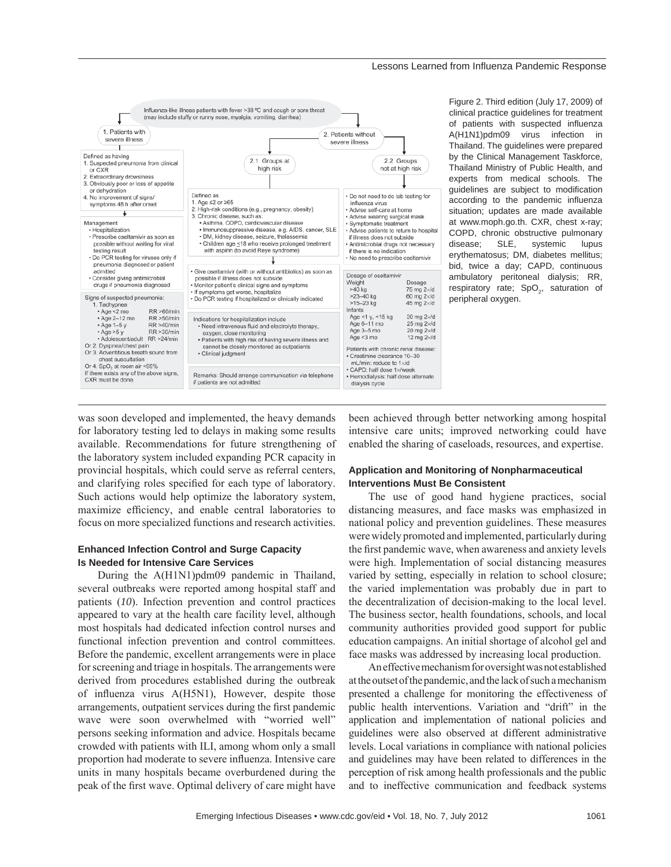

Figure 2. Third edition (July 17, 2009) of clinical practice guidelines for treatment of patients with suspected influenza A(H1N1)pdm09 virus infection in Thailand. The guidelines were prepared by the Clinical Management Taskforce, Thailand Ministry of Public Health, and experts from medical schools. The quidelines are subject to modification according to the pandemic influenza situation; updates are made available at www.moph.go.th. CXR, chest x-ray; COPD, chronic obstructive pulmonary disease; SLE, systemic lupus erythematosus; DM, diabetes mellitus; bid, twice a day; CAPD, continuous ambulatory peritoneal dialysis; RR, respiratory rate;  $SpO<sub>2</sub>$ , saturation of peripheral oxygen.

was soon developed and implemented, the heavy demands for laboratory testing led to delays in making some results available. Recommendations for future strengthening of the laboratory system included expanding PCR capacity in provincial hospitals, which could serve as referral centers, and clarifying roles specified for each type of laboratory. Such actions would help optimize the laboratory system, maximize efficiency, and enable central laboratories to focus on more specialized functions and research activities.

# **Enhanced Infection Control and Surge Capacity Is Needed for Intensive Care Services**

During the A(H1N1)pdm09 pandemic in Thailand, several outbreaks were reported among hospital staff and patients (*10*). Infection prevention and control practices appeared to vary at the health care facility level, although most hospitals had dedicated infection control nurses and functional infection prevention and control committees. Before the pandemic, excellent arrangements were in place for screening and triage in hospitals. The arrangements were derived from procedures established during the outbreak of influenza virus A(H5N1), However, despite those arrangements, outpatient services during the first pandemic wave were soon overwhelmed with "worried well" persons seeking information and advice. Hospitals became crowded with patients with ILI, among whom only a small proportion had moderate to severe influenza. Intensive care units in many hospitals became overburdened during the peak of the first wave. Optimal delivery of care might have

been achieved through better networking among hospital intensive care units; improved networking could have enabled the sharing of caseloads, resources, and expertise.

# **Application and Monitoring of Nonpharmaceutical Interventions Must Be Consistent**

The use of good hand hygiene practices, social distancing measures, and face masks was emphasized in national policy and prevention guidelines. These measures were widely promoted and implemented, particularly during the first pandemic wave, when awareness and anxiety levels were high. Implementation of social distancing measures varied by setting, especially in relation to school closure; the varied implementation was probably due in part to the decentralization of decision-making to the local level. The business sector, health foundations, schools, and local community authorities provided good support for public education campaigns. An initial shortage of alcohol gel and face masks was addressed by increasing local production.

An effective mechanism for oversight was not established at the outset of the pandemic, and the lack of such a mechanism presented a challenge for monitoring the effectiveness of public health interventions. Variation and "drift" in the application and implementation of national policies and guidelines were also observed at different administrative levels. Local variations in compliance with national policies and guidelines may have been related to differences in the perception of risk among health professionals and the public and to ineffective communication and feedback systems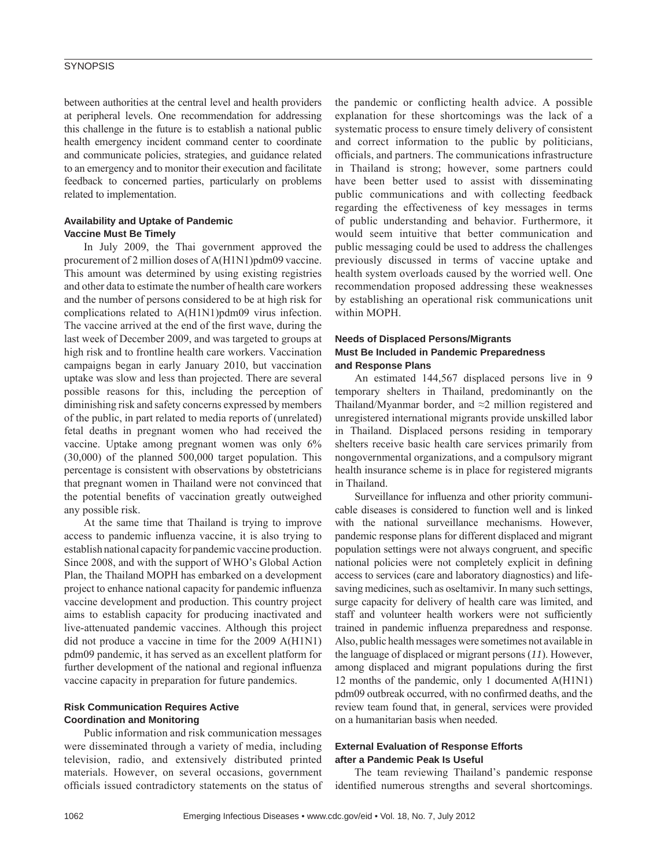# **SYNOPSIS**

between authorities at the central level and health providers at peripheral levels. One recommendation for addressing this challenge in the future is to establish a national public health emergency incident command center to coordinate and communicate policies, strategies, and guidance related to an emergency and to monitor their execution and facilitate feedback to concerned parties, particularly on problems related to implementation.

#### **Availability and Uptake of Pandemic Vaccine Must Be Timely**

In July 2009, the Thai government approved the procurement of 2 million doses of A(H1N1)pdm09 vaccine. This amount was determined by using existing registries and other data to estimate the number of health care workers and the number of persons considered to be at high risk for complications related to A(H1N1)pdm09 virus infection. The vaccine arrived at the end of the first wave, during the last week of December 2009, and was targeted to groups at high risk and to frontline health care workers. Vaccination campaigns began in early January 2010, but vaccination uptake was slow and less than projected. There are several possible reasons for this, including the perception of diminishing risk and safety concerns expressed by members of the public, in part related to media reports of (unrelated) fetal deaths in pregnant women who had received the vaccine. Uptake among pregnant women was only 6% (30,000) of the planned 500,000 target population. This percentage is consistent with observations by obstetricians that pregnant women in Thailand were not convinced that the potential benefits of vaccination greatly outweighed any possible risk.

At the same time that Thailand is trying to improve access to pandemic influenza vaccine, it is also trying to establish national capacity for pandemic vaccine production. Since 2008, and with the support of WHO's Global Action Plan, the Thailand MOPH has embarked on a development project to enhance national capacity for pandemic influenza vaccine development and production. This country project aims to establish capacity for producing inactivated and live-attenuated pandemic vaccines. Although this project did not produce a vaccine in time for the 2009 A(H1N1) pdm09 pandemic, it has served as an excellent platform for further development of the national and regional influenza vaccine capacity in preparation for future pandemics.

# **Risk Communication Requires Active Coordination and Monitoring**

Public information and risk communication messages were disseminated through a variety of media, including television, radio, and extensively distributed printed materials. However, on several occasions, government officials issued contradictory statements on the status of

the pandemic or conflicting health advice. A possible explanation for these shortcomings was the lack of a systematic process to ensure timely delivery of consistent and correct information to the public by politicians, officials, and partners. The communications infrastructure in Thailand is strong; however, some partners could have been better used to assist with disseminating public communications and with collecting feedback regarding the effectiveness of key messages in terms of public understanding and behavior. Furthermore, it would seem intuitive that better communication and public messaging could be used to address the challenges previously discussed in terms of vaccine uptake and health system overloads caused by the worried well. One recommendation proposed addressing these weaknesses by establishing an operational risk communications unit within MOPH.

# **Needs of Displaced Persons/Migrants Must Be Included in Pandemic Preparedness and Response Plans**

An estimated 144,567 displaced persons live in 9 temporary shelters in Thailand, predominantly on the Thailand/Myanmar border, and ≈2 million registered and unregistered international migrants provide unskilled labor in Thailand. Displaced persons residing in temporary shelters receive basic health care services primarily from nongovernmental organizations, and a compulsory migrant health insurance scheme is in place for registered migrants in Thailand.

Surveillance for influenza and other priority communicable diseases is considered to function well and is linked with the national surveillance mechanisms. However, pandemic response plans for different displaced and migrant population settings were not always congruent, and specific national policies were not completely explicit in defining access to services (care and laboratory diagnostics) and lifesaving medicines, such as oseltamivir. In many such settings, surge capacity for delivery of health care was limited, and staff and volunteer health workers were not sufficiently trained in pandemic influenza preparedness and response. Also, public health messages were sometimes not available in the language of displaced or migrant persons (*11*). However, among displaced and migrant populations during the first 12 months of the pandemic, only 1 documented A(H1N1) pdm09 outbreak occurred, with no confirmed deaths, and the review team found that, in general, services were provided on a humanitarian basis when needed.

# **External Evaluation of Response Efforts after a Pandemic Peak Is Useful**

The team reviewing Thailand's pandemic response identified numerous strengths and several shortcomings.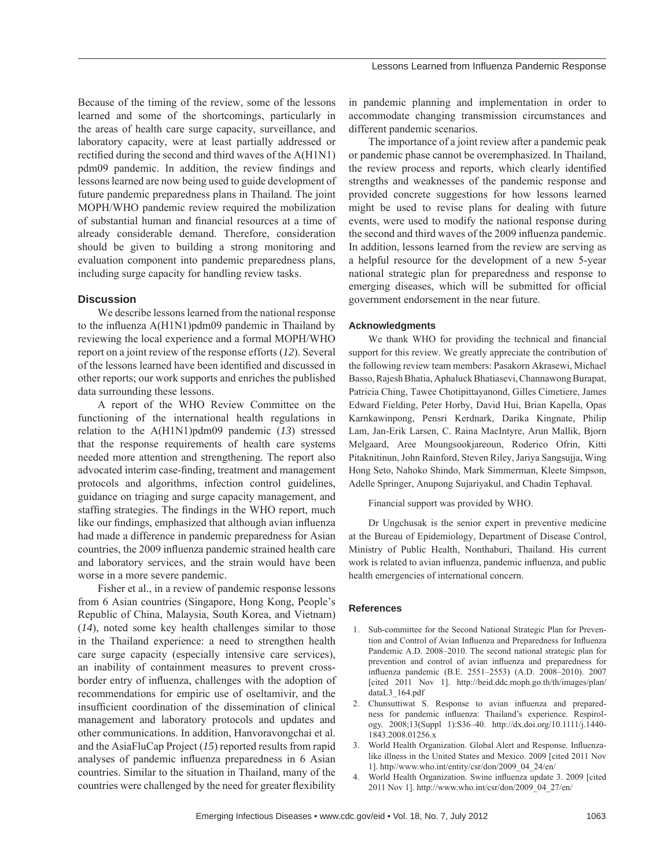Because of the timing of the review, some of the lessons learned and some of the shortcomings, particularly in the areas of health care surge capacity, surveillance, and laboratory capacity, were at least partially addressed or rectified during the second and third waves of the  $A(H1N1)$ pdm09 pandemic. In addition, the review findings and lessons learned are now being used to guide development of future pandemic preparedness plans in Thailand. The joint MOPH/WHO pandemic review required the mobilization of substantial human and financial resources at a time of already considerable demand. Therefore, consideration should be given to building a strong monitoring and evaluation component into pandemic preparedness plans, including surge capacity for handling review tasks.

# **Discussion**

We describe lessons learned from the national response to the influenza  $A(H1N1)$ pdm09 pandemic in Thailand by reviewing the local experience and a formal MOPH/WHO report on a joint review of the response efforts (*12*). Several of the lessons learned have been identified and discussed in other reports; our work supports and enriches the published data surrounding these lessons.

A report of the WHO Review Committee on the functioning of the international health regulations in relation to the A(H1N1)pdm09 pandemic (*13*) stressed that the response requirements of health care systems needed more attention and strengthening*.* The report also advocated interim case-finding, treatment and management protocols and algorithms, infection control guidelines, guidance on triaging and surge capacity management, and staffing strategies. The findings in the WHO report, much like our findings, emphasized that although avian influenza had made a difference in pandemic preparedness for Asian countries, the 2009 influenza pandemic strained health care and laboratory services, and the strain would have been worse in a more severe pandemic.

Fisher et al., in a review of pandemic response lessons from 6 Asian countries (Singapore, Hong Kong, People's Republic of China, Malaysia, South Korea, and Vietnam) (*14*), noted some key health challenges similar to those in the Thailand experience: a need to strengthen health care surge capacity (especially intensive care services), an inability of containment measures to prevent crossborder entry of influenza, challenges with the adoption of recommendations for empiric use of oseltamivir, and the insufficient coordination of the dissemination of clinical management and laboratory protocols and updates and other communications. In addition, Hanvoravongchai et al. and the AsiaFluCap Project (*15*) reported results from rapid analyses of pandemic influenza preparedness in 6 Asian countries. Similar to the situation in Thailand, many of the countries were challenged by the need for greater flexibility

in pandemic planning and implementation in order to accommodate changing transmission circumstances and different pandemic scenarios.

The importance of a joint review after a pandemic peak or pandemic phase cannot be overemphasized. In Thailand, the review process and reports, which clearly identified strengths and weaknesses of the pandemic response and provided concrete suggestions for how lessons learned might be used to revise plans for dealing with future events, were used to modify the national response during the second and third waves of the 2009 influenza pandemic. In addition, lessons learned from the review are serving as a helpful resource for the development of a new 5-year national strategic plan for preparedness and response to emerging diseases, which will be submitted for official government endorsement in the near future.

#### **Acknowledgments**

We thank WHO for providing the technical and financial support for this review. We greatly appreciate the contribution of the following review team members: Pasakorn Akrasewi, Michael Basso, Rajesh Bhatia, Aphaluck Bhatiasevi, Channawong Burapat, Patricia Ching, Tawee Chotipittayanond, Gilles Cimetiere, James Edward Fielding, Peter Horby, David Hui, Brian Kapella, Opas Karnkawinpong, Pensri Kerdnark, Darika Kingnate, Philip Lam, Jan-Erik Larsen, C. Raina MacIntyre, Arun Mallik, Bjorn Melgaard, Aree Moungsookjareoun, Roderico Ofrin, Kitti Pitaknitinun, John Rainford, Steven Riley, Jariya Sangsujja, Wing Hong Seto, Nahoko Shindo, Mark Simmerman, Kleete Simpson, Adelle Springer, Anupong Sujariyakul, and Chadin Tephaval.

#### Financial support was provided by WHO.

Dr Ungchusak is the senior expert in preventive medicine at the Bureau of Epidemiology, Department of Disease Control, Ministry of Public Health, Nonthaburi, Thailand. His current work is related to avian influenza, pandemic influenza, and public health emergencies of international concern.

# **References**

- 1. Sub-committee for the Second National Strategic Plan for Prevention and Control of Avian Influenza and Preparedness for Influenza Pandemic A.D. 2008–2010. The second national strategic plan for prevention and control of avian influenza and preparedness for influenza pandemic (B.E. 2551-2553) (A.D. 2008-2010). 2007 [cited 2011 Nov 1]. http://beid.ddc.moph.go.th/th/images/plan/ dataL3\_164.pdf
- 2. Chunsuttiwat S. Response to avian influenza and preparedness for pandemic influenza: Thailand's experience. Respirology. 2008;13(Suppl 1):S36–40. http://dx.doi.org/10.1111/j.1440- 1843.2008.01256.x
- 3. World Health Organization. Global Alert and Response. Influenzalike illness in the United States and Mexico. 2009 [cited 2011 Nov 1]. http//www.who.int/entity/csr/don/2009\_04\_24/en/
- 4. World Health Organization. Swine influenza update 3. 2009 [cited 2011 Nov 1]. http://www.who.int/csr/don/2009\_04\_27/en/